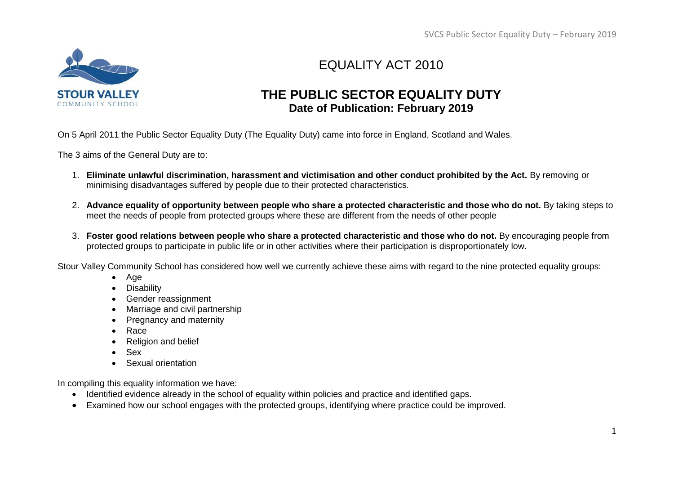

# EQUALITY ACT 2010

### **THE PUBLIC SECTOR EQUALITY DUTY Date of Publication: February 2019**

On 5 April 2011 the Public Sector Equality Duty (The Equality Duty) came into force in England, Scotland and Wales.

The 3 aims of the General Duty are to:

- 1. **Eliminate unlawful discrimination, harassment and victimisation and other conduct prohibited by the Act.** By removing or minimising disadvantages suffered by people due to their protected characteristics.
- 2. **Advance equality of opportunity between people who share a protected characteristic and those who do not.** By taking steps to meet the needs of people from protected groups where these are different from the needs of other people
- 3. **Foster good relations between people who share a protected characteristic and those who do not.** By encouraging people from protected groups to participate in public life or in other activities where their participation is disproportionately low.

Stour Valley Community School has considered how well we currently achieve these aims with regard to the nine protected equality groups:

- Age
- **Disability**
- Gender reassignment
- Marriage and civil partnership
- Pregnancy and maternity
- Race
- Religion and belief
- Sex
- Sexual orientation

In compiling this equality information we have:

- Identified evidence already in the school of equality within policies and practice and identified gaps.
- Examined how our school engages with the protected groups, identifying where practice could be improved.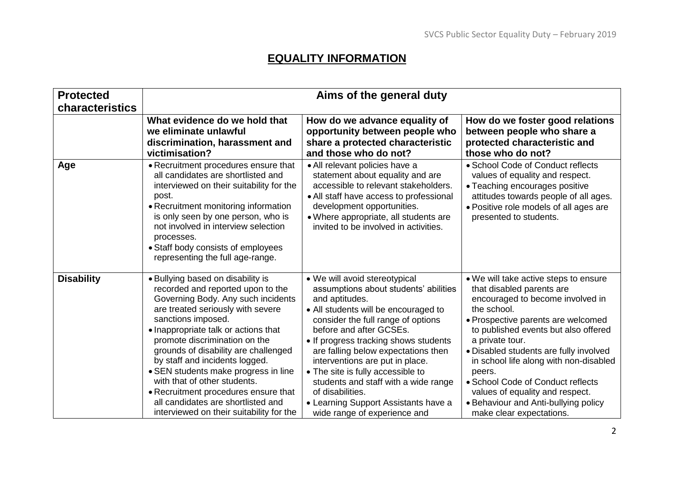### **EQUALITY INFORMATION**

| <b>Protected</b>  | Aims of the general duty                                                                                                                                                                                                                                                                                                                     |                                                                                                                                                                                                                                                                       |                                                                                                                                                                                                                     |  |
|-------------------|----------------------------------------------------------------------------------------------------------------------------------------------------------------------------------------------------------------------------------------------------------------------------------------------------------------------------------------------|-----------------------------------------------------------------------------------------------------------------------------------------------------------------------------------------------------------------------------------------------------------------------|---------------------------------------------------------------------------------------------------------------------------------------------------------------------------------------------------------------------|--|
| characteristics   | What evidence do we hold that                                                                                                                                                                                                                                                                                                                | How do we advance equality of                                                                                                                                                                                                                                         | How do we foster good relations                                                                                                                                                                                     |  |
|                   | we eliminate unlawful                                                                                                                                                                                                                                                                                                                        | opportunity between people who                                                                                                                                                                                                                                        | between people who share a                                                                                                                                                                                          |  |
|                   | discrimination, harassment and                                                                                                                                                                                                                                                                                                               | share a protected characteristic                                                                                                                                                                                                                                      | protected characteristic and                                                                                                                                                                                        |  |
|                   | victimisation?                                                                                                                                                                                                                                                                                                                               | and those who do not?                                                                                                                                                                                                                                                 | those who do not?                                                                                                                                                                                                   |  |
| Age               | • Recruitment procedures ensure that<br>all candidates are shortlisted and<br>interviewed on their suitability for the<br>post.<br>• Recruitment monitoring information<br>is only seen by one person, who is<br>not involved in interview selection<br>processes.<br>• Staff body consists of employees<br>representing the full age-range. | · All relevant policies have a<br>statement about equality and are<br>accessible to relevant stakeholders.<br>• All staff have access to professional<br>development opportunities.<br>· Where appropriate, all students are<br>invited to be involved in activities. | • School Code of Conduct reflects<br>values of equality and respect.<br>• Teaching encourages positive<br>attitudes towards people of all ages.<br>• Positive role models of all ages are<br>presented to students. |  |
| <b>Disability</b> | • Bullying based on disability is                                                                                                                                                                                                                                                                                                            | • We will avoid stereotypical                                                                                                                                                                                                                                         | • We will take active steps to ensure                                                                                                                                                                               |  |
|                   | recorded and reported upon to the                                                                                                                                                                                                                                                                                                            | assumptions about students' abilities                                                                                                                                                                                                                                 | that disabled parents are                                                                                                                                                                                           |  |
|                   | Governing Body. Any such incidents                                                                                                                                                                                                                                                                                                           | and aptitudes.                                                                                                                                                                                                                                                        | encouraged to become involved in                                                                                                                                                                                    |  |
|                   | are treated seriously with severe                                                                                                                                                                                                                                                                                                            | • All students will be encouraged to                                                                                                                                                                                                                                  | the school.                                                                                                                                                                                                         |  |
|                   | sanctions imposed.                                                                                                                                                                                                                                                                                                                           | consider the full range of options                                                                                                                                                                                                                                    | · Prospective parents are welcomed                                                                                                                                                                                  |  |
|                   | • Inappropriate talk or actions that                                                                                                                                                                                                                                                                                                         | before and after GCSEs.                                                                                                                                                                                                                                               | to published events but also offered                                                                                                                                                                                |  |
|                   | promote discrimination on the                                                                                                                                                                                                                                                                                                                | • If progress tracking shows students                                                                                                                                                                                                                                 | a private tour.                                                                                                                                                                                                     |  |
|                   | grounds of disability are challenged                                                                                                                                                                                                                                                                                                         | are falling below expectations then                                                                                                                                                                                                                                   | • Disabled students are fully involved                                                                                                                                                                              |  |
|                   | by staff and incidents logged.                                                                                                                                                                                                                                                                                                               | interventions are put in place.                                                                                                                                                                                                                                       | in school life along with non-disabled                                                                                                                                                                              |  |
|                   | • SEN students make progress in line                                                                                                                                                                                                                                                                                                         | • The site is fully accessible to                                                                                                                                                                                                                                     | peers.                                                                                                                                                                                                              |  |
|                   | with that of other students.                                                                                                                                                                                                                                                                                                                 | students and staff with a wide range                                                                                                                                                                                                                                  | • School Code of Conduct reflects                                                                                                                                                                                   |  |
|                   | • Recruitment procedures ensure that                                                                                                                                                                                                                                                                                                         | of disabilities.                                                                                                                                                                                                                                                      | values of equality and respect.                                                                                                                                                                                     |  |
|                   | all candidates are shortlisted and                                                                                                                                                                                                                                                                                                           | • Learning Support Assistants have a                                                                                                                                                                                                                                  | • Behaviour and Anti-bullying policy                                                                                                                                                                                |  |
|                   | interviewed on their suitability for the                                                                                                                                                                                                                                                                                                     | wide range of experience and                                                                                                                                                                                                                                          | make clear expectations.                                                                                                                                                                                            |  |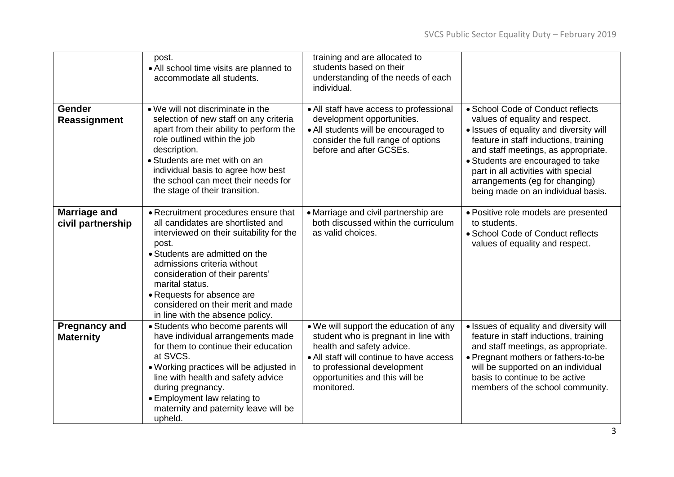|                                          | post.<br>• All school time visits are planned to<br>accommodate all students.                                                                                                                                                                                                                                                                                  | training and are allocated to<br>students based on their<br>understanding of the needs of each<br>individual.                                                                                                                          |                                                                                                                                                                                                                                                                                                                                                     |
|------------------------------------------|----------------------------------------------------------------------------------------------------------------------------------------------------------------------------------------------------------------------------------------------------------------------------------------------------------------------------------------------------------------|----------------------------------------------------------------------------------------------------------------------------------------------------------------------------------------------------------------------------------------|-----------------------------------------------------------------------------------------------------------------------------------------------------------------------------------------------------------------------------------------------------------------------------------------------------------------------------------------------------|
| <b>Gender</b><br>Reassignment            | • We will not discriminate in the<br>selection of new staff on any criteria<br>apart from their ability to perform the<br>role outlined within the job<br>description.<br>• Students are met with on an<br>individual basis to agree how best<br>the school can meet their needs for<br>the stage of their transition.                                         | • All staff have access to professional<br>development opportunities.<br>• All students will be encouraged to<br>consider the full range of options<br>before and after GCSEs.                                                         | • School Code of Conduct reflects<br>values of equality and respect.<br>• Issues of equality and diversity will<br>feature in staff inductions, training<br>and staff meetings, as appropriate.<br>• Students are encouraged to take<br>part in all activities with special<br>arrangements (eg for changing)<br>being made on an individual basis. |
| <b>Marriage and</b><br>civil partnership | • Recruitment procedures ensure that<br>all candidates are shortlisted and<br>interviewed on their suitability for the<br>post.<br>• Students are admitted on the<br>admissions criteria without<br>consideration of their parents'<br>marital status.<br>• Requests for absence are<br>considered on their merit and made<br>in line with the absence policy. | • Marriage and civil partnership are<br>both discussed within the curriculum<br>as valid choices.                                                                                                                                      | · Positive role models are presented<br>to students.<br>• School Code of Conduct reflects<br>values of equality and respect.                                                                                                                                                                                                                        |
| <b>Pregnancy and</b><br><b>Maternity</b> | • Students who become parents will<br>have individual arrangements made<br>for them to continue their education<br>at SVCS.<br>. Working practices will be adjusted in<br>line with health and safety advice<br>during pregnancy.<br>• Employment law relating to<br>maternity and paternity leave will be<br>upheld.                                          | . We will support the education of any<br>student who is pregnant in line with<br>health and safety advice.<br>• All staff will continue to have access<br>to professional development<br>opportunities and this will be<br>monitored. | • Issues of equality and diversity will<br>feature in staff inductions, training<br>and staff meetings, as appropriate.<br>• Pregnant mothers or fathers-to-be<br>will be supported on an individual<br>basis to continue to be active<br>members of the school community.                                                                          |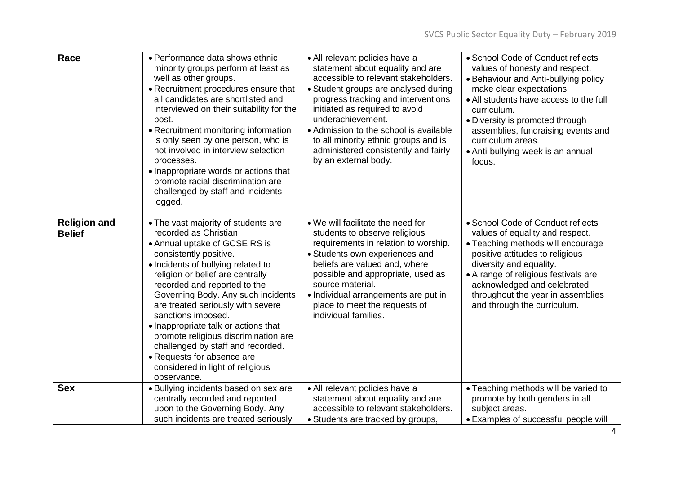| Race                                 | • Performance data shows ethnic<br>minority groups perform at least as<br>well as other groups.<br>• Recruitment procedures ensure that<br>all candidates are shortlisted and<br>interviewed on their suitability for the<br>post.<br>• Recruitment monitoring information<br>is only seen by one person, who is<br>not involved in interview selection<br>processes.<br>• Inappropriate words or actions that<br>promote racial discrimination are<br>challenged by staff and incidents<br>logged.                                       | • All relevant policies have a<br>statement about equality and are<br>accessible to relevant stakeholders.<br>• Student groups are analysed during<br>progress tracking and interventions<br>initiated as required to avoid<br>underachievement.<br>• Admission to the school is available<br>to all minority ethnic groups and is<br>administered consistently and fairly<br>by an external body. | • School Code of Conduct reflects<br>values of honesty and respect.<br>• Behaviour and Anti-bullying policy<br>make clear expectations.<br>• All students have access to the full<br>curriculum.<br>• Diversity is promoted through<br>assemblies, fundraising events and<br>curriculum areas.<br>• Anti-bullying week is an annual<br>focus. |
|--------------------------------------|-------------------------------------------------------------------------------------------------------------------------------------------------------------------------------------------------------------------------------------------------------------------------------------------------------------------------------------------------------------------------------------------------------------------------------------------------------------------------------------------------------------------------------------------|----------------------------------------------------------------------------------------------------------------------------------------------------------------------------------------------------------------------------------------------------------------------------------------------------------------------------------------------------------------------------------------------------|-----------------------------------------------------------------------------------------------------------------------------------------------------------------------------------------------------------------------------------------------------------------------------------------------------------------------------------------------|
| <b>Religion and</b><br><b>Belief</b> | • The vast majority of students are<br>recorded as Christian.<br>• Annual uptake of GCSE RS is<br>consistently positive.<br>• Incidents of bullying related to<br>religion or belief are centrally<br>recorded and reported to the<br>Governing Body. Any such incidents<br>are treated seriously with severe<br>sanctions imposed.<br>• Inappropriate talk or actions that<br>promote religious discrimination are<br>challenged by staff and recorded.<br>• Requests for absence are<br>considered in light of religious<br>observance. | • We will facilitate the need for<br>students to observe religious<br>requirements in relation to worship.<br>• Students own experiences and<br>beliefs are valued and, where<br>possible and appropriate, used as<br>source material.<br>• Individual arrangements are put in<br>place to meet the requests of<br>individual families.                                                            | • School Code of Conduct reflects<br>values of equality and respect.<br>• Teaching methods will encourage<br>positive attitudes to religious<br>diversity and equality.<br>• A range of religious festivals are<br>acknowledged and celebrated<br>throughout the year in assemblies<br>and through the curriculum.                            |
| <b>Sex</b>                           | • Bullying incidents based on sex are<br>centrally recorded and reported<br>upon to the Governing Body. Any<br>such incidents are treated seriously                                                                                                                                                                                                                                                                                                                                                                                       | • All relevant policies have a<br>statement about equality and are<br>accessible to relevant stakeholders.<br>• Students are tracked by groups,                                                                                                                                                                                                                                                    | • Teaching methods will be varied to<br>promote by both genders in all<br>subject areas.<br>• Examples of successful people will                                                                                                                                                                                                              |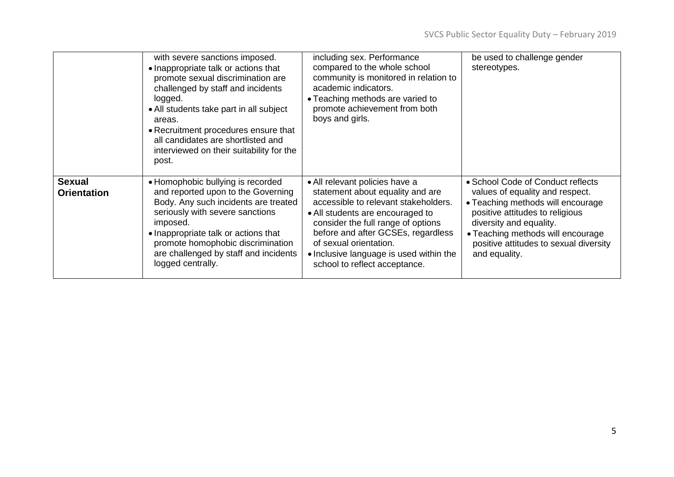|                                     | with severe sanctions imposed.<br>• Inappropriate talk or actions that<br>promote sexual discrimination are<br>challenged by staff and incidents<br>logged.<br>• All students take part in all subject<br>areas.<br>• Recruitment procedures ensure that<br>all candidates are shortlisted and<br>interviewed on their suitability for the<br>post. | including sex. Performance<br>compared to the whole school<br>community is monitored in relation to<br>academic indicators.<br>• Teaching methods are varied to<br>promote achievement from both<br>boys and girls.                                                                                                              | be used to challenge gender<br>stereotypes.                                                                                                                                                                                                                             |
|-------------------------------------|-----------------------------------------------------------------------------------------------------------------------------------------------------------------------------------------------------------------------------------------------------------------------------------------------------------------------------------------------------|----------------------------------------------------------------------------------------------------------------------------------------------------------------------------------------------------------------------------------------------------------------------------------------------------------------------------------|-------------------------------------------------------------------------------------------------------------------------------------------------------------------------------------------------------------------------------------------------------------------------|
| <b>Sexual</b><br><b>Orientation</b> | • Homophobic bullying is recorded<br>and reported upon to the Governing<br>Body. Any such incidents are treated<br>seriously with severe sanctions<br>imposed.<br>• Inappropriate talk or actions that<br>promote homophobic discrimination<br>are challenged by staff and incidents<br>logged centrally.                                           | • All relevant policies have a<br>statement about equality and are<br>accessible to relevant stakeholders.<br>• All students are encouraged to<br>consider the full range of options<br>before and after GCSEs, regardless<br>of sexual orientation.<br>• Inclusive language is used within the<br>school to reflect acceptance. | • School Code of Conduct reflects<br>values of equality and respect.<br>• Teaching methods will encourage<br>positive attitudes to religious<br>diversity and equality.<br>• Teaching methods will encourage<br>positive attitudes to sexual diversity<br>and equality. |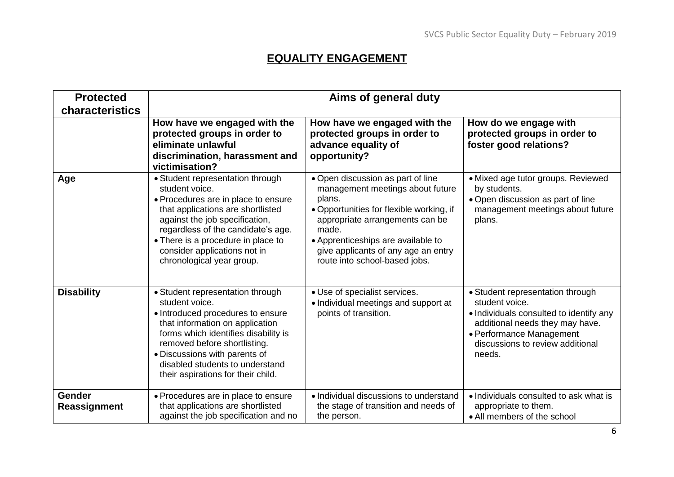# **EQUALITY ENGAGEMENT**

| <b>Protected</b><br>characteristics | Aims of general duty                                                                                                                                                                                                                                                                                         |                                                                                                                                                                                                                                                                                       |                                                                                                                                                                                                            |  |
|-------------------------------------|--------------------------------------------------------------------------------------------------------------------------------------------------------------------------------------------------------------------------------------------------------------------------------------------------------------|---------------------------------------------------------------------------------------------------------------------------------------------------------------------------------------------------------------------------------------------------------------------------------------|------------------------------------------------------------------------------------------------------------------------------------------------------------------------------------------------------------|--|
|                                     | How have we engaged with the<br>protected groups in order to<br>eliminate unlawful<br>discrimination, harassment and<br>victimisation?                                                                                                                                                                       | How have we engaged with the<br>protected groups in order to<br>advance equality of<br>opportunity?                                                                                                                                                                                   | How do we engage with<br>protected groups in order to<br>foster good relations?                                                                                                                            |  |
| Age                                 | • Student representation through<br>student voice.<br>• Procedures are in place to ensure<br>that applications are shortlisted<br>against the job specification,<br>regardless of the candidate's age.<br>• There is a procedure in place to<br>consider applications not in<br>chronological year group.    | . Open discussion as part of line<br>management meetings about future<br>plans.<br>• Opportunities for flexible working, if<br>appropriate arrangements can be<br>made.<br>• Apprenticeships are available to<br>give applicants of any age an entry<br>route into school-based jobs. | · Mixed age tutor groups. Reviewed<br>by students.<br>. Open discussion as part of line<br>management meetings about future<br>plans.                                                                      |  |
| <b>Disability</b>                   | • Student representation through<br>student voice.<br>• Introduced procedures to ensure<br>that information on application<br>forms which identifies disability is<br>removed before shortlisting.<br>• Discussions with parents of<br>disabled students to understand<br>their aspirations for their child. | • Use of specialist services.<br>• Individual meetings and support at<br>points of transition.                                                                                                                                                                                        | • Student representation through<br>student voice.<br>. Individuals consulted to identify any<br>additional needs they may have.<br>• Performance Management<br>discussions to review additional<br>needs. |  |
| Gender<br>Reassignment              | • Procedures are in place to ensure<br>that applications are shortlisted<br>against the job specification and no                                                                                                                                                                                             | • Individual discussions to understand<br>the stage of transition and needs of<br>the person.                                                                                                                                                                                         | • Individuals consulted to ask what is<br>appropriate to them.<br>• All members of the school                                                                                                              |  |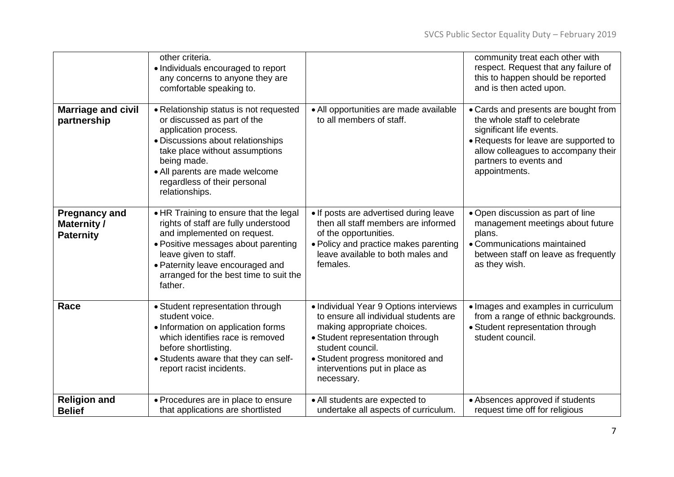|                                                                | other criteria.<br>• Individuals encouraged to report<br>any concerns to anyone they are<br>comfortable speaking to.                                                                                                                                                    |                                                                                                                                                                                                                                                           | community treat each other with<br>respect. Request that any failure of<br>this to happen should be reported<br>and is then acted upon.                                                                                     |
|----------------------------------------------------------------|-------------------------------------------------------------------------------------------------------------------------------------------------------------------------------------------------------------------------------------------------------------------------|-----------------------------------------------------------------------------------------------------------------------------------------------------------------------------------------------------------------------------------------------------------|-----------------------------------------------------------------------------------------------------------------------------------------------------------------------------------------------------------------------------|
| <b>Marriage and civil</b><br>partnership                       | • Relationship status is not requested<br>or discussed as part of the<br>application process.<br>· Discussions about relationships<br>take place without assumptions<br>being made.<br>• All parents are made welcome<br>regardless of their personal<br>relationships. | • All opportunities are made available<br>to all members of staff.                                                                                                                                                                                        | • Cards and presents are bought from<br>the whole staff to celebrate<br>significant life events.<br>• Requests for leave are supported to<br>allow colleagues to accompany their<br>partners to events and<br>appointments. |
| <b>Pregnancy and</b><br><b>Maternity /</b><br><b>Paternity</b> | • HR Training to ensure that the legal<br>rights of staff are fully understood<br>and implemented on request.<br>• Positive messages about parenting<br>leave given to staff.<br>• Paternity leave encouraged and<br>arranged for the best time to suit the<br>father.  | • If posts are advertised during leave<br>then all staff members are informed<br>of the opportunities.<br>• Policy and practice makes parenting<br>leave available to both males and<br>females.                                                          | • Open discussion as part of line<br>management meetings about future<br>plans.<br>• Communications maintained<br>between staff on leave as frequently<br>as they wish.                                                     |
| Race                                                           | • Student representation through<br>student voice.<br>• Information on application forms<br>which identifies race is removed<br>before shortlisting.<br>• Students aware that they can self-<br>report racist incidents.                                                | • Individual Year 9 Options interviews<br>to ensure all individual students are<br>making appropriate choices.<br>• Student representation through<br>student council.<br>• Student progress monitored and<br>interventions put in place as<br>necessary. | • Images and examples in curriculum<br>from a range of ethnic backgrounds.<br>• Student representation through<br>student council.                                                                                          |
| <b>Religion and</b><br><b>Belief</b>                           | • Procedures are in place to ensure<br>that applications are shortlisted                                                                                                                                                                                                | • All students are expected to<br>undertake all aspects of curriculum.                                                                                                                                                                                    | • Absences approved if students<br>request time off for religious                                                                                                                                                           |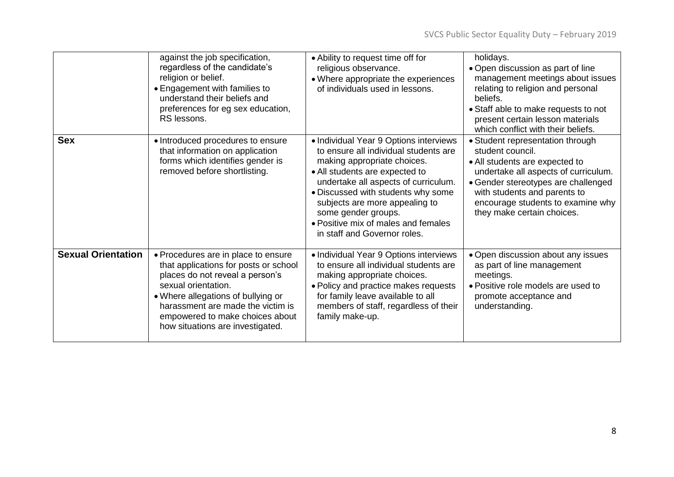|                           | against the job specification,<br>regardless of the candidate's<br>religion or belief.<br>• Engagement with families to<br>understand their beliefs and<br>preferences for eg sex education,<br>RS lessons.                                                                              | • Ability to request time off for<br>religious observance.<br>• Where appropriate the experiences<br>of individuals used in lessons.                                                                                                                                                                                                                           | holidays.<br>• Open discussion as part of line<br>management meetings about issues<br>relating to religion and personal<br>beliefs.<br>• Staff able to make requests to not<br>present certain lesson materials<br>which conflict with their beliefs.                    |
|---------------------------|------------------------------------------------------------------------------------------------------------------------------------------------------------------------------------------------------------------------------------------------------------------------------------------|----------------------------------------------------------------------------------------------------------------------------------------------------------------------------------------------------------------------------------------------------------------------------------------------------------------------------------------------------------------|--------------------------------------------------------------------------------------------------------------------------------------------------------------------------------------------------------------------------------------------------------------------------|
| <b>Sex</b>                | • Introduced procedures to ensure<br>that information on application<br>forms which identifies gender is<br>removed before shortlisting.                                                                                                                                                 | • Individual Year 9 Options interviews<br>to ensure all individual students are<br>making appropriate choices.<br>• All students are expected to<br>undertake all aspects of curriculum.<br>. Discussed with students why some<br>subjects are more appealing to<br>some gender groups.<br>• Positive mix of males and females<br>in staff and Governor roles. | • Student representation through<br>student council.<br>• All students are expected to<br>undertake all aspects of curriculum.<br>• Gender stereotypes are challenged<br>with students and parents to<br>encourage students to examine why<br>they make certain choices. |
| <b>Sexual Orientation</b> | • Procedures are in place to ensure<br>that applications for posts or school<br>places do not reveal a person's<br>sexual orientation.<br>• Where allegations of bullying or<br>harassment are made the victim is<br>empowered to make choices about<br>how situations are investigated. | • Individual Year 9 Options interviews<br>to ensure all individual students are<br>making appropriate choices.<br>• Policy and practice makes requests<br>for family leave available to all<br>members of staff, regardless of their<br>family make-up.                                                                                                        | • Open discussion about any issues<br>as part of line management<br>meetings.<br>• Positive role models are used to<br>promote acceptance and<br>understanding.                                                                                                          |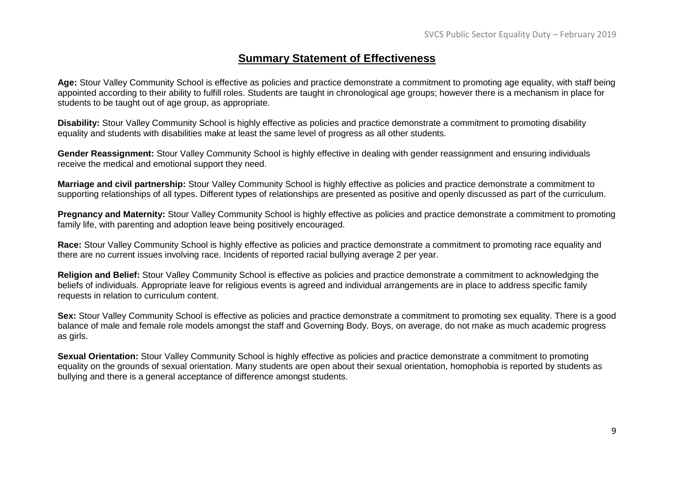#### **Summary Statement of Effectiveness**

**Age:** Stour Valley Community School is effective as policies and practice demonstrate a commitment to promoting age equality, with staff being appointed according to their ability to fulfill roles. Students are taught in chronological age groups; however there is a mechanism in place for students to be taught out of age group, as appropriate.

**Disability:** Stour Valley Community School is highly effective as policies and practice demonstrate a commitment to promoting disability equality and students with disabilities make at least the same level of progress as all other students.

**Gender Reassignment:** Stour Valley Community School is highly effective in dealing with gender reassignment and ensuring individuals receive the medical and emotional support they need.

**Marriage and civil partnership:** Stour Valley Community School is highly effective as policies and practice demonstrate a commitment to supporting relationships of all types. Different types of relationships are presented as positive and openly discussed as part of the curriculum.

**Pregnancy and Maternity:** Stour Valley Community School is highly effective as policies and practice demonstrate a commitment to promoting family life, with parenting and adoption leave being positively encouraged.

**Race:** Stour Valley Community School is highly effective as policies and practice demonstrate a commitment to promoting race equality and there are no current issues involving race. Incidents of reported racial bullying average 2 per year.

**Religion and Belief:** Stour Valley Community School is effective as policies and practice demonstrate a commitment to acknowledging the beliefs of individuals. Appropriate leave for religious events is agreed and individual arrangements are in place to address specific family requests in relation to curriculum content.

**Sex:** Stour Valley Community School is effective as policies and practice demonstrate a commitment to promoting sex equality. There is a good balance of male and female role models amongst the staff and Governing Body. Boys, on average, do not make as much academic progress as girls.

**Sexual Orientation:** Stour Valley Community School is highly effective as policies and practice demonstrate a commitment to promoting equality on the grounds of sexual orientation. Many students are open about their sexual orientation, homophobia is reported by students as bullying and there is a general acceptance of difference amongst students.